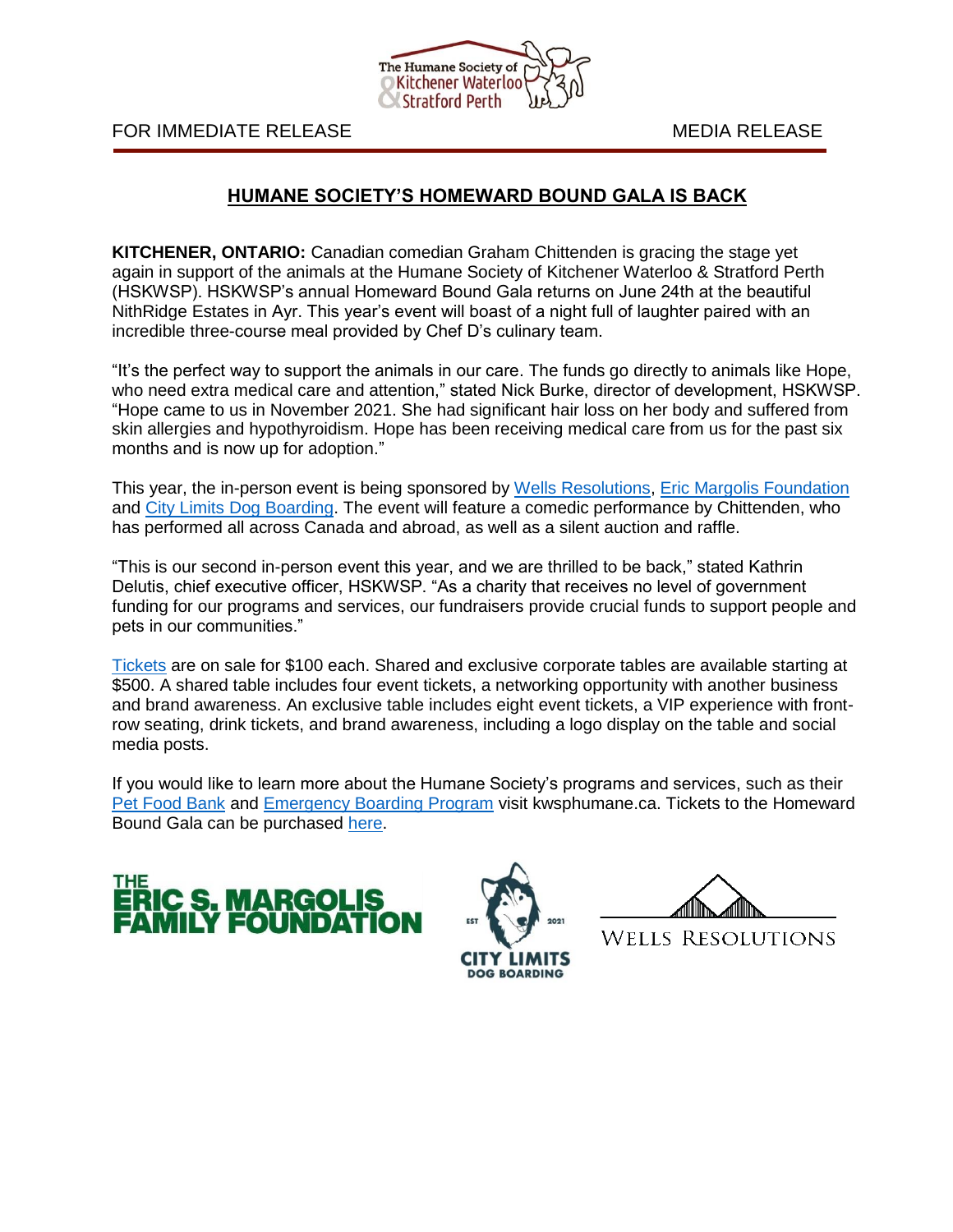

FOR IMMEDIATE RELEASE MEDIA RELEASE

## **HUMANE SOCIETY'S HOMEWARD BOUND GALA IS BACK**

**KITCHENER, ONTARIO:** Canadian comedian Graham Chittenden is gracing the stage yet again in support of the animals at the Humane Society of Kitchener Waterloo & Stratford Perth (HSKWSP). HSKWSP's annual Homeward Bound Gala returns on June 24th at the beautiful NithRidge Estates in Ayr. This year's event will boast of a night full of laughter paired with an incredible three-course meal provided by Chef D's culinary team.

"It's the perfect way to support the animals in our care. The funds go directly to animals like Hope, who need extra medical care and attention," stated Nick Burke, director of development, HSKWSP. "Hope came to us in November 2021. She had significant hair loss on her body and suffered from skin allergies and hypothyroidism. Hope has been receiving medical care from us for the past six months and is now up for adoption."

This year, the in-person event is being sponsored by [Wells Resolutions,](https://wellsresolutions.com/) [Eric Margolis Foundation](http://www.margolisfoundation.org/) and [City Limits Dog Boarding.](https://www.citylimitsdogboarding.com/) The event will feature a comedic performance by Chittenden, who has performed all across Canada and abroad, as well as a silent auction and raffle.

"This is our second in-person event this year, and we are thrilled to be back," stated Kathrin Delutis, chief executive officer, HSKWSP. "As a charity that receives no level of government funding for our programs and services, our fundraisers provide crucial funds to support people and pets in our communities."

[Tickets](https://kwsphumane.ca/events/homeward-bound) are on sale for \$100 each. Shared and exclusive corporate tables are available starting at \$500. A shared table includes four event tickets, a networking opportunity with another business and brand awareness. An exclusive table includes eight event tickets, a VIP experience with frontrow seating, drink tickets, and brand awareness, including a logo display on the table and social media posts.

If you would like to learn more about the Humane Society's programs and services, such as their [Pet Food Bank](https://kwsphumane.ca/petfoodbanks) and [Emergency Boarding Program](https://kwsphumane.ca/emergencyboarding) visit kwsphumane.ca. Tickets to the Homeward Bound Gala can be purchased [here.](https://kwsphumane.ca/events/homeward-bound)





**WELLS RESOLUTIONS**